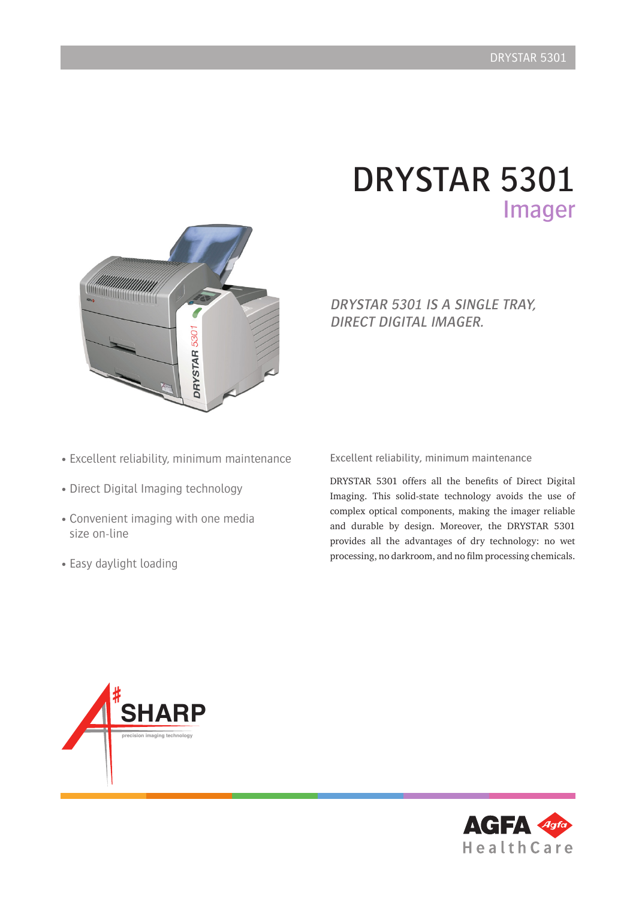## DRYSTAR 5301 Imager



### DRYSTAR 5301 IS A SINGLE TRAY, DIRECT DIGITAL IMAGER.

- Excellent reliability, minimum maintenance
- Direct Digital Imaging technology
- Convenient imaging with one media size on-line
- Easy daylight loading

Excellent reliability, minimum maintenance

DRYSTAR 5301 offers all the benefits of Direct Digital Imaging. This solid-state technology avoids the use of complex optical components, making the imager reliable and durable by design. Moreover, the DRYSTAR 5301 provides all the advantages of dry technology: no wet processing, no darkroom, and no film processing chemicals.



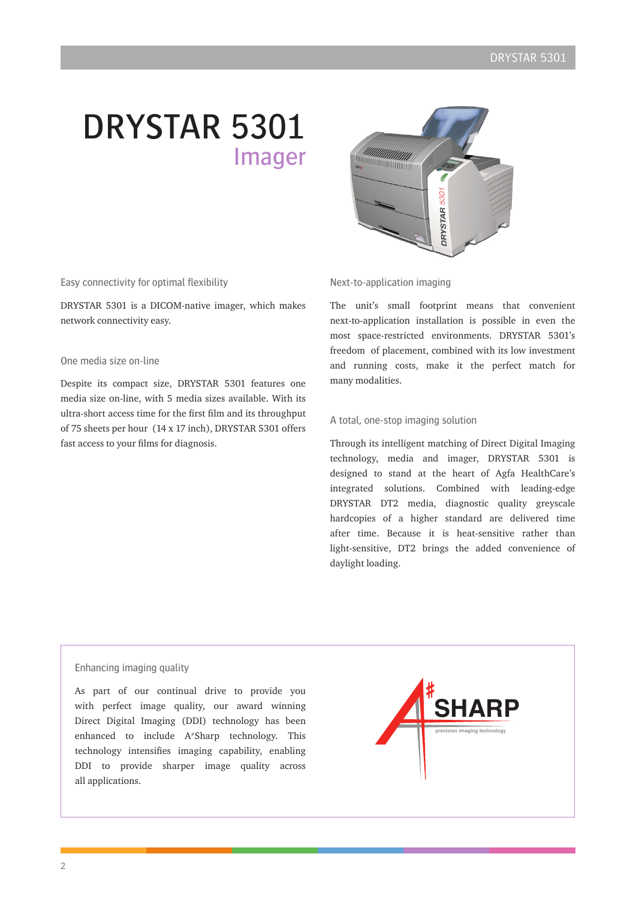# DRYSTAR 5301 Imager



Easy connectivity for optimal flexibility

DRYSTAR 5301 is a DICOM-native imager, which makes network connectivity easy.

#### One media size on-line

Despite its compact size, DRYSTAR 5301 features one media size on-line, with 5 media sizes available. With its ultra-short access time for the first film and its throughput of 75 sheets per hour (14 x 17 inch), DRYSTAR 5301 offers fast access to your films for diagnosis.

#### Next-to-application imaging

The unit's small footprint means that convenient next-to-application installation is possible in even the most space-restricted environments. DRYSTAR 5301's freedom of placement, combined with its low investment and running costs, make it the perfect match for many modalities.

#### A total, one-stop imaging solution

Through its intelligent matching of Direct Digital Imaging technology, media and imager, DRYSTAR 5301 is designed to stand at the heart of Agfa HealthCare's integrated solutions. Combined with leading-edge DRYSTAR DT2 media, diagnostic quality greyscale hardcopies of a higher standard are delivered time after time. Because it is heat-sensitive rather than light-sensitive, DT2 brings the added convenience of daylight loading.

#### Enhancing imaging quality

As part of our continual drive to provide you with perfect image quality, our award winning Direct Digital Imaging (DDI) technology has been enhanced to include A#Sharp technology. This technology intensifies imaging capability, enabling DDI to provide sharper image quality across all applications.

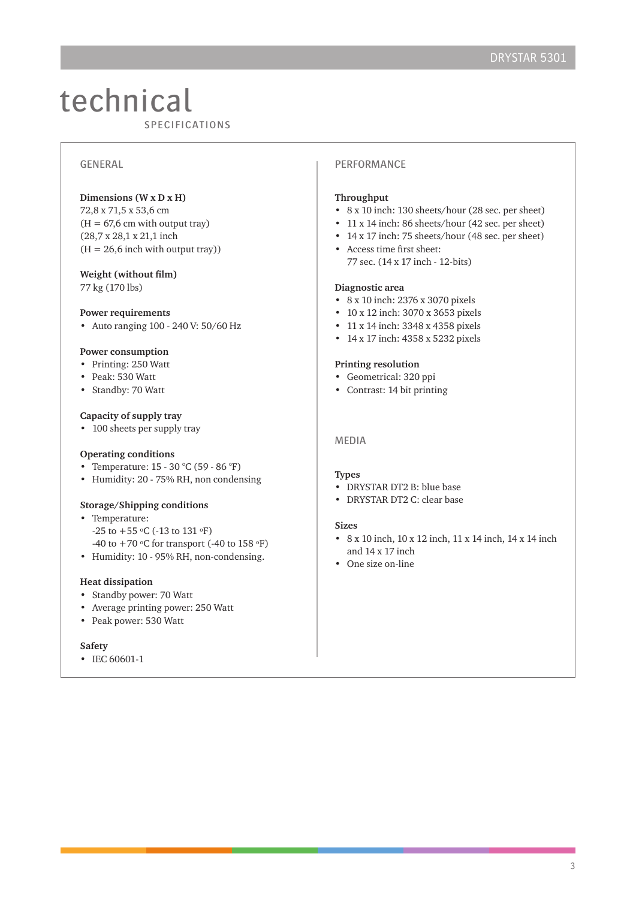### technical **CULTIFICATIONS**

#### GENERAL

#### **Dimensions (W x D x H)**

72,8 x 71,5 x 53,6 cm  $(H = 67, 6$  cm with output tray) (28,7 x 28,1 x 21,1 inch  $(H = 26.6$  inch with output tray))

#### **Weight (without film)**

77 kg (170 lbs)

#### **Power requirements**

• Auto ranging 100 - 240 V: 50/60 Hz

#### **Power consumption**

- Printing: 250 Watt
- Peak: 530 Watt
- Standby: 70 Watt

#### **Capacity of supply tray**

• 100 sheets per supply tray

#### **Operating conditions**

- Temperature: 15 30 °C (59 86 °F)
- Humidity: 20 75% RH, non condensing

#### **Storage/Shipping conditions**

- Temperature:  $-25$  to  $+55$  °C ( $-13$  to  $131$  °F) -40 to  $+70$  °C for transport (-40 to 158 °F)
- Humidity: 10 95% RH, non-condensing.

#### **Heat dissipation**

- Standby power: 70 Watt
- Average printing power: 250 Watt
- Peak power: 530 Watt

#### **Safety**

• IEC 60601-1

#### PERFORMANCE

#### **Throughput**

- 8 x 10 inch: 130 sheets/hour (28 sec. per sheet)
- 11 x 14 inch: 86 sheets/hour (42 sec. per sheet)
- 14 x 17 inch: 75 sheets/hour (48 sec. per sheet)
- Access time first sheet: 77 sec. (14 x 17 inch - 12-bits)

#### **Diagnostic area**

- 8 x 10 inch: 2376 x 3070 pixels
- 10 x 12 inch: 3070 x 3653 pixels
- 11 x 14 inch: 3348 x 4358 pixels
- 14 x 17 inch: 4358 x 5232 pixels

#### **Printing resolution**

- Geometrical: 320 ppi
- Contrast: 14 bit printing

#### MEDIA

#### **Types**

- DRYSTAR DT2 B: blue base
- DRYSTAR DT2 C: clear base

#### **Sizes**

- 8 x 10 inch, 10 x 12 inch, 11 x 14 inch, 14 x 14 inch and 14 x 17 inch
- One size on-line